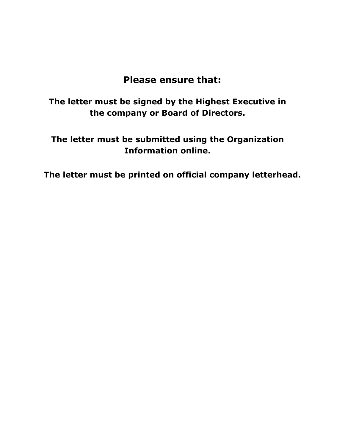## **Please ensure that:**

**The letter must be signed by the Highest Executive in the company or Board of Directors.**

**The letter must be submitted using the Organization Information online.**

**The letter must be printed on official company letterhead.**